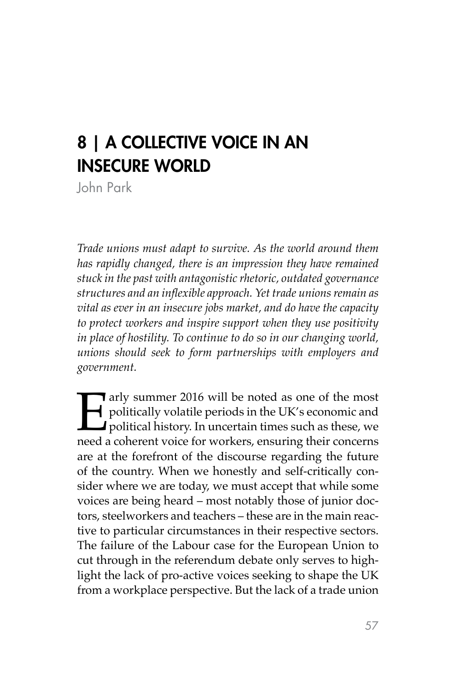# 8 | A COLLECTIVE VOICE IN AN INSECURE WORLD

John Park

*Trade unions must adapt to survive. As the world around them has rapidly changed, there is an impression they have remained stuck in the past with antagonistic rhetoric, outdated governance structures and an inflexible approach. Yet trade unions remain as vital as ever in an insecure jobs market, and do have the capacity to protect workers and inspire support when they use positivity in place of hostility. To continue to do so in our changing world, unions should seek to form partnerships with employers and government.* 

Farly summer 2016 will be noted as one of the most<br>politically volatile periods in the UK's economic and<br>political history. In uncertain times such as these, we<br>need a coherent voice for workers, ensuring their concerns politically volatile periods in the UK's economic and **political history.** In uncertain times such as these, we need a coherent voice for workers, ensuring their concerns are at the forefront of the discourse regarding the future of the country. When we honestly and self-critically consider where we are today, we must accept that while some voices are being heard – most notably those of junior doctors, steelworkers and teachers – these are in the main reactive to particular circumstances in their respective sectors. The failure of the Labour case for the European Union to cut through in the referendum debate only serves to highlight the lack of pro-active voices seeking to shape the UK from a workplace perspective. But the lack of a trade union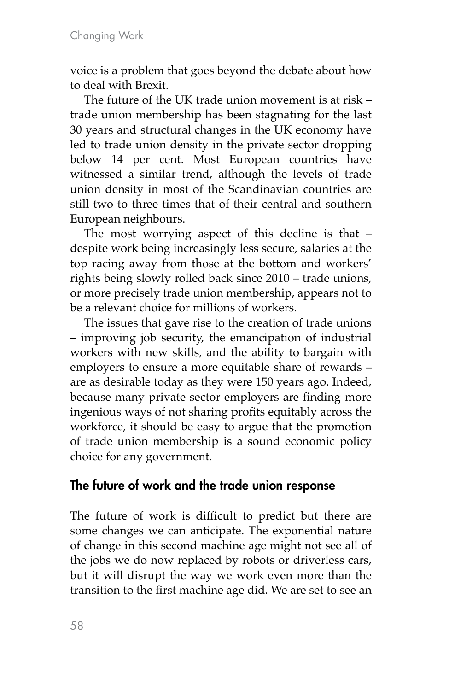voice is a problem that goes beyond the debate about how to deal with Brexit.

The future of the UK trade union movement is at risk – trade union membership has been stagnating for the last 30 years and structural changes in the UK economy have led to trade union density in the private sector dropping below 14 per cent. Most European countries have witnessed a similar trend, although the levels of trade union density in most of the Scandinavian countries are still two to three times that of their central and southern European neighbours.

The most worrying aspect of this decline is that – despite work being increasingly less secure, salaries at the top racing away from those at the bottom and workers' rights being slowly rolled back since 2010 – trade unions, or more precisely trade union membership, appears not to be a relevant choice for millions of workers.

The issues that gave rise to the creation of trade unions – improving job security, the emancipation of industrial workers with new skills, and the ability to bargain with employers to ensure a more equitable share of rewards – are as desirable today as they were 150 years ago. Indeed, because many private sector employers are finding more ingenious ways of not sharing profits equitably across the workforce, it should be easy to argue that the promotion of trade union membership is a sound economic policy choice for any government.

## The future of work and the trade union response

The future of work is difficult to predict but there are some changes we can anticipate. The exponential nature of change in this second machine age might not see all of the jobs we do now replaced by robots or driverless cars, but it will disrupt the way we work even more than the transition to the first machine age did. We are set to see an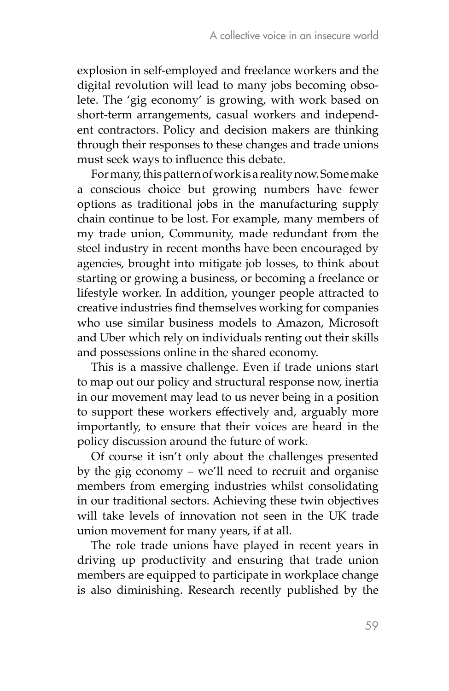explosion in self-employed and freelance workers and the digital revolution will lead to many jobs becoming obsolete. The 'gig economy' is growing, with work based on short-term arrangements, casual workers and independent contractors. Policy and decision makers are thinking through their responses to these changes and trade unions must seek ways to influence this debate.

For many, this pattern of work is a reality now. Somemake a conscious choice but growing numbers have fewer options as traditional jobs in the manufacturing supply chain continue to be lost. For example, many members of my trade union, Community, made redundant from the steel industry in recent months have been encouraged by agencies, brought into mitigate job losses, to think about starting or growing a business, or becoming a freelance or lifestyle worker. In addition, younger people attracted to creative industries find themselves working for companies who use similar business models to Amazon, Microsoft and Uber which rely on individuals renting out their skills and possessions online in the shared economy.

This is a massive challenge. Even if trade unions start to map out our policy and structural response now, inertia in our movement may lead to us never being in a position to support these workers effectively and, arguably more importantly, to ensure that their voices are heard in the policy discussion around the future of work.

Of course it isn't only about the challenges presented by the gig economy – we'll need to recruit and organise members from emerging industries whilst consolidating in our traditional sectors. Achieving these twin objectives will take levels of innovation not seen in the UK trade union movement for many years, if at all.

The role trade unions have played in recent years in driving up productivity and ensuring that trade union members are equipped to participate in workplace change is also diminishing. Research recently published by the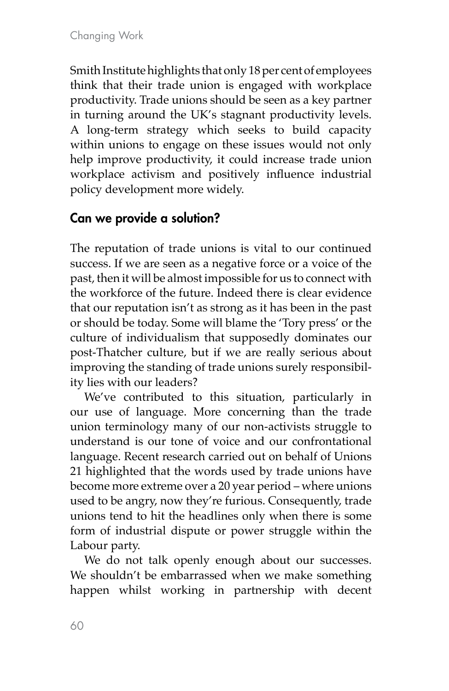Smith Institute highlights that only 18 per cent of employees think that their trade union is engaged with workplace productivity. Trade unions should be seen as a key partner in turning around the UK's stagnant productivity levels. A long-term strategy which seeks to build capacity within unions to engage on these issues would not only help improve productivity, it could increase trade union workplace activism and positively influence industrial policy development more widely.

## Can we provide a solution?

The reputation of trade unions is vital to our continued success. If we are seen as a negative force or a voice of the past, then it will be almost impossible for us to connect with the workforce of the future. Indeed there is clear evidence that our reputation isn't as strong as it has been in the past or should be today. Some will blame the 'Tory press' or the culture of individualism that supposedly dominates our post-Thatcher culture, but if we are really serious about improving the standing of trade unions surely responsibility lies with our leaders?

We've contributed to this situation, particularly in our use of language. More concerning than the trade union terminology many of our non-activists struggle to understand is our tone of voice and our confrontational language. Recent research carried out on behalf of Unions 21 highlighted that the words used by trade unions have become more extreme over a 20 year period – where unions used to be angry, now they're furious. Consequently, trade unions tend to hit the headlines only when there is some form of industrial dispute or power struggle within the Labour party.

We do not talk openly enough about our successes. We shouldn't be embarrassed when we make something happen whilst working in partnership with decent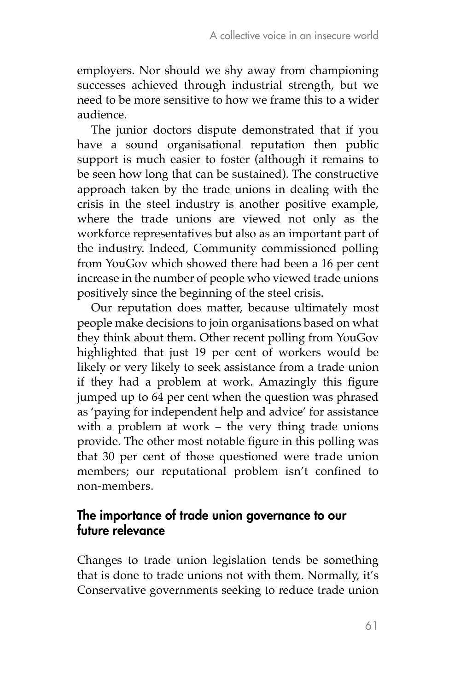employers. Nor should we shy away from championing successes achieved through industrial strength, but we need to be more sensitive to how we frame this to a wider audience.

The junior doctors dispute demonstrated that if you have a sound organisational reputation then public support is much easier to foster (although it remains to be seen how long that can be sustained). The constructive approach taken by the trade unions in dealing with the crisis in the steel industry is another positive example, where the trade unions are viewed not only as the workforce representatives but also as an important part of the industry. Indeed, Community commissioned polling from YouGov which showed there had been a 16 per cent increase in the number of people who viewed trade unions positively since the beginning of the steel crisis.

Our reputation does matter, because ultimately most people make decisions to join organisations based on what they think about them. Other recent polling from YouGov highlighted that just 19 per cent of workers would be likely or very likely to seek assistance from a trade union if they had a problem at work. Amazingly this figure jumped up to 64 per cent when the question was phrased as 'paying for independent help and advice' for assistance with a problem at work – the very thing trade unions provide. The other most notable figure in this polling was that 30 per cent of those questioned were trade union members; our reputational problem isn't confined to non-members.

### The importance of trade union governance to our future relevance

Changes to trade union legislation tends be something that is done to trade unions not with them. Normally, it's Conservative governments seeking to reduce trade union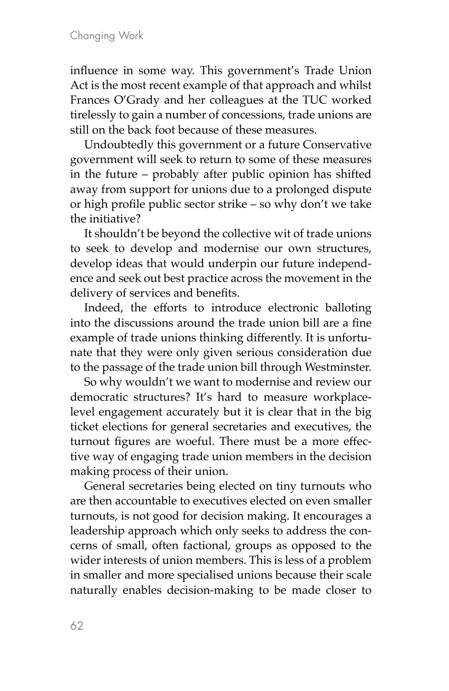influence in some way. This government's Trade Union Act is the most recent example of that approach and whilst Frances O'Grady and her colleagues at the TUC worked tirelessly to gain a number of concessions, trade unions are still on the back foot because of these measures.

Undoubtedly this government or a future Conservative government will seek to return to some of these measures in the future – probably after public opinion has shifted away from support for unions due to a prolonged dispute or high profile public sector strike – so why don't we take the initiative?

It shouldn't be beyond the collective wit of trade unions to seek to develop and modernise our own structures, develop ideas that would underpin our future independence and seek out best practice across the movement in the delivery of services and benefits.

Indeed, the efforts to introduce electronic balloting into the discussions around the trade union bill are a fine example of trade unions thinking differently. It is unfortunate that they were only given serious consideration due to the passage of the trade union bill through Westminster.

So why wouldn't we want to modernise and review our democratic structures? It's hard to measure workplacelevel engagement accurately but it is clear that in the big ticket elections for general secretaries and executives, the turnout figures are woeful. There must be a more effective way of engaging trade union members in the decision making process of their union.

General secretaries being elected on tiny turnouts who are then accountable to executives elected on even smaller turnouts, is not good for decision making. It encourages a leadership approach which only seeks to address the concerns of small, often factional, groups as opposed to the wider interests of union members. This is less of a problem in smaller and more specialised unions because their scale naturally enables decision-making to be made closer to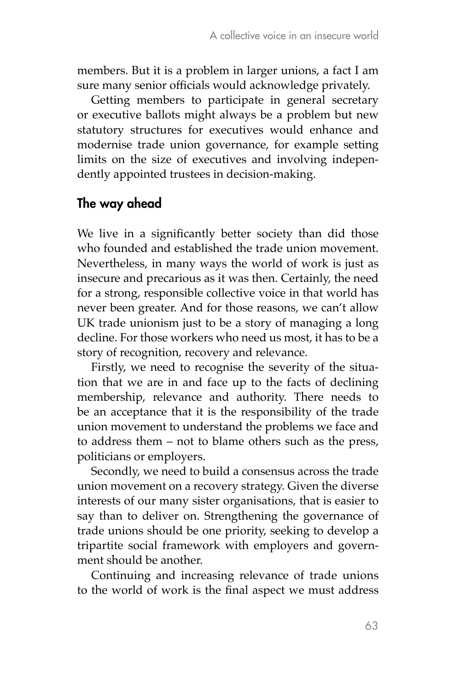members. But it is a problem in larger unions, a fact I am sure many senior officials would acknowledge privately.

Getting members to participate in general secretary or executive ballots might always be a problem but new statutory structures for executives would enhance and modernise trade union governance, for example setting limits on the size of executives and involving independently appointed trustees in decision-making.

## The way ahead

We live in a significantly better society than did those who founded and established the trade union movement. Nevertheless, in many ways the world of work is just as insecure and precarious as it was then. Certainly, the need for a strong, responsible collective voice in that world has never been greater. And for those reasons, we can't allow UK trade unionism just to be a story of managing a long decline. For those workers who need us most, it has to be a story of recognition, recovery and relevance.

Firstly, we need to recognise the severity of the situation that we are in and face up to the facts of declining membership, relevance and authority. There needs to be an acceptance that it is the responsibility of the trade union movement to understand the problems we face and to address them – not to blame others such as the press, politicians or employers.

Secondly, we need to build a consensus across the trade union movement on a recovery strategy. Given the diverse interests of our many sister organisations, that is easier to say than to deliver on. Strengthening the governance of trade unions should be one priority, seeking to develop a tripartite social framework with employers and government should be another.

Continuing and increasing relevance of trade unions to the world of work is the final aspect we must address